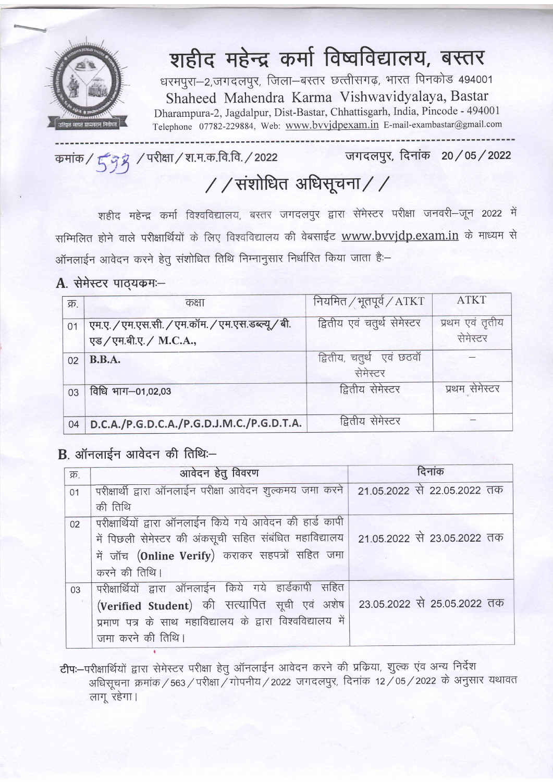

## शहीद महेन्द्र कर्मा विष्वविद्यालय, बस्तर

धरमपुरा-2,जगदलपुर, जिला-बस्तर छत्तीसगढ़, भारत पिनकोड 494001 Shaheed Mahendra Karma Vishwavidyalaya, Bastar Dharampura-2, Jagdalpur, Dist-Bastar, chhattisgarh, India, Pincode - 49400I Telephone 07782-229884, Web: www.bwjdpexam.in E-mail-exambastar@gmail.com

जगदलपुर, दिनांक 20/05/2022 कमांक / 5 9 8 / परीक्षा / श.म.क.वि.वि. / 2022

## / / संशोधित अधिसूचना / /

महेन्द्र कर्मा विश्वविद्यालय, बस्तर जगदलपुर द्वारा सेमेस्टर परीक्षा जनवरी—जून 2022 में सम्मिलित होने वाले परीक्षार्थियों के लिए विश्वविद्यालय की वेबसाईट <u>www.bvvjdp.exam.in</u> के माध्यम से ऑनलाईन आवेदन करने हेतु संशोधित तिथि निम्नानुसार निर्धारित किया जाता है:-

## $A.$  सेमेस्टर पाठ्यकम $-$

| क्र. | कक्षा                                                                    | नियमित / भूतपूर्व / ATKT               | <b>ATKT</b>                 |
|------|--------------------------------------------------------------------------|----------------------------------------|-----------------------------|
| 01   | एम.ए. / एम.एस.सी. / एम.कॉम. / एम.एस.डब्ल्यू/ बी.<br>एड/एम.बी.ए./ M.C.A., | द्वितीय एवं चतुर्थ सेमेस्टर            | प्रथम एवं तृतीय<br>सेमेस्टर |
| 02   | <b>B.B.A.</b>                                                            | द्वितीय, चतुर्थ) एवं छठवाँ<br>सेमेस्टर |                             |
| 03   | विधि भाग-01,02,03                                                        | द्वितीय सेमेस्टर                       | प्रथम सेमेस्टर              |
| 04   | D.C.A./P.G.D.C.A./P.G.D.J.M.C./P.G.D.T.A.                                | द्वितीय सेमेस्टर                       |                             |

## $B$ . ऑनलाईन आवेदन की तिथिः-

t

| क्र. | आवेदन हेतु विवरण                                                                       | दिनांक |
|------|----------------------------------------------------------------------------------------|--------|
| 01   | परीक्षार्थी द्वारा ऑनलाईन परीक्षा आवेदन शुल्कमय जमा करने   21.05.2022 से 22.05.2022 तक |        |
|      | की तिथि                                                                                |        |
| 02   | परीक्षार्थियों द्वारा ऑनलाईन किये गये आवेदन की हार्ड कापी                              |        |
|      | में पिछली सेमेस्टर की अंकसूची सहित संबंधित महाविद्यालय   21.05.2022 से 23.05.2022 तक   |        |
|      | में जॉच (Online Verify) कराकर सहपत्रों सहित जमा                                        |        |
|      | करने की तिथि।                                                                          |        |
| 03   | परीक्षार्थियों द्वारा ऑनलाईन किये गये हार्डकापी सहित                                   |        |
|      | (Verified Student) की सत्यापित सूची एवं अशेष   23.05.2022 से 25.05.2022 तक             |        |
|      | प्रमाण पत्र के साथ महाविद्यालय के द्वारा विश्वविद्यालय में                             |        |
|      | जमा करने की तिथि।                                                                      |        |

टीप:-परीक्षार्थियों द्वारा सेमेस्टर परीक्षा हेतु ऑनलाईन आवेदन करने की प्रक्रिया, शुल्क एंव अन्य निर्देश अधिसूचना क्रमांक / 563 / परीक्षा / गोपनीय / 2022 जगदलपुर, दिनांक 12 / 05 / 2022 के अनुसार यथावत लाग रहेगा।